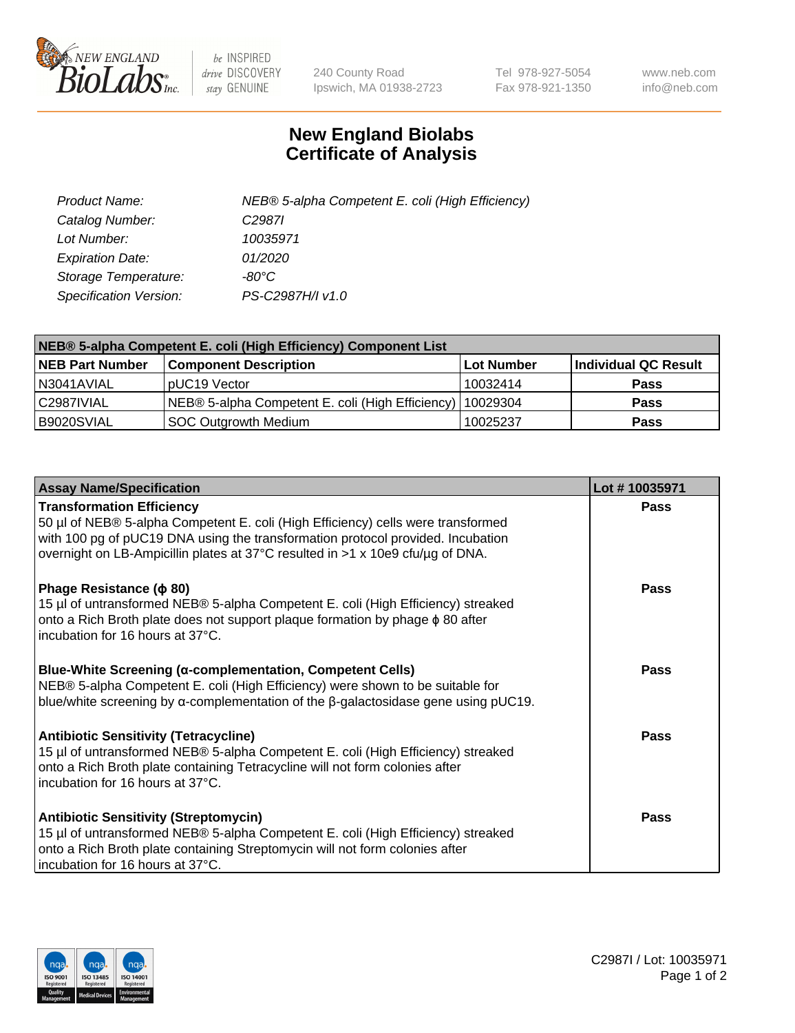

 $be$  INSPIRED drive DISCOVERY stay GENUINE

240 County Road Ipswich, MA 01938-2723 Tel 978-927-5054 Fax 978-921-1350 www.neb.com info@neb.com

## **New England Biolabs Certificate of Analysis**

| Product Name:           | NEB® 5-alpha Competent E. coli (High Efficiency) |
|-------------------------|--------------------------------------------------|
| Catalog Number:         | C <sub>2987</sub>                                |
| Lot Number:             | 10035971                                         |
| <b>Expiration Date:</b> | 01/2020                                          |
| Storage Temperature:    | -80°C                                            |
| Specification Version:  | PS-C2987H/I v1.0                                 |

| NEB® 5-alpha Competent E. coli (High Efficiency) Component List |                                                             |                   |                      |  |
|-----------------------------------------------------------------|-------------------------------------------------------------|-------------------|----------------------|--|
| <b>NEB Part Number</b>                                          | <b>Component Description</b>                                | <b>Lot Number</b> | Individual QC Result |  |
| N3041AVIAL                                                      | pUC19 Vector                                                | 10032414          | <b>Pass</b>          |  |
| C2987IVIAL                                                      | NEB® 5-alpha Competent E. coli (High Efficiency)   10029304 |                   | <b>Pass</b>          |  |
| B9020SVIAL                                                      | <b>SOC Outgrowth Medium</b>                                 | 10025237          | <b>Pass</b>          |  |

| <b>Assay Name/Specification</b>                                                                                                                                                                                                                                                           | Lot #10035971 |
|-------------------------------------------------------------------------------------------------------------------------------------------------------------------------------------------------------------------------------------------------------------------------------------------|---------------|
| <b>Transformation Efficiency</b><br>50 µl of NEB® 5-alpha Competent E. coli (High Efficiency) cells were transformed<br>with 100 pg of pUC19 DNA using the transformation protocol provided. Incubation<br>overnight on LB-Ampicillin plates at 37°C resulted in >1 x 10e9 cfu/µg of DNA. | Pass          |
| Phage Resistance ( $\phi$ 80)<br>15 µl of untransformed NEB® 5-alpha Competent E. coli (High Efficiency) streaked<br>onto a Rich Broth plate does not support plaque formation by phage $\phi$ 80 after<br>incubation for 16 hours at 37°C.                                               | Pass          |
| <b>Blue-White Screening (α-complementation, Competent Cells)</b><br>NEB® 5-alpha Competent E. coli (High Efficiency) were shown to be suitable for<br>blue/white screening by $\alpha$ -complementation of the $\beta$ -galactosidase gene using pUC19.                                   | Pass          |
| Antibiotic Sensitivity (Tetracycline)<br>15 µl of untransformed NEB® 5-alpha Competent E. coli (High Efficiency) streaked<br>onto a Rich Broth plate containing Tetracycline will not form colonies after<br>incubation for 16 hours at 37°C.                                             | Pass          |
| <b>Antibiotic Sensitivity (Streptomycin)</b><br>15 µl of untransformed NEB® 5-alpha Competent E. coli (High Efficiency) streaked<br>onto a Rich Broth plate containing Streptomycin will not form colonies after<br>incubation for 16 hours at 37°C.                                      | Pass          |